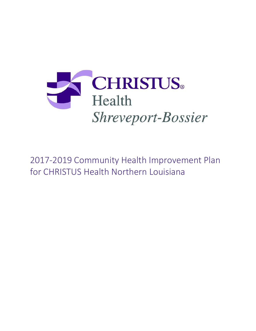

2017-2019 Community Health Improvement Plan for CHRISTUS Health Northern Louisiana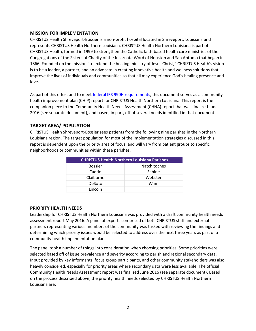#### **MISSION FOR IMPLEMENTATION**

CHRISTUS Health Shreveport-Bossier is a non-profit hospital located in Shreveport, Louisiana and represents CHRISTUS Health Northern Louisiana. CHRISTUS Health Northern Louisiana is part of CHRISTUS Health, formed in 1999 to strengthen the Catholic faith-based health care ministries of the Congregations of the Sisters of Charity of the Incarnate Word of Houston and San Antonio that began in 1866. Founded on the mission "to extend the healing ministry of Jesus Christ," CHRISTUS Health's vision is to be a leader, a partner, and an advocate in creating innovative health and wellness solutions that improve the lives of individuals and communities so that all may experience God's healing presence and love.

As part of this effort and to meet [federal IRS 990H requirements,](https://www.irs.gov/uac/About-Schedule-H-Form-990) this document serves as a community health improvement plan (CHIP) report for CHRISTUS Health Northern Louisiana. This report is the companion piece to the Community Health Needs Assessment (CHNA) report that was finalized June 2016 (see separate document), and based, in part, off of several needs identified in that document.

## **TARGET AREA/ POPULATION**

CHRISTUS Health Shreveport-Bossier sees patients from the following nine parishes in the Northern Louisiana region. The target population for most of the implementation strategies discussed in this report is dependent upon the priority area of focus, and will vary from patient groups to specific neighborhoods or communities within these parishes.

| <b>CHRISTUS Health Northern Louisiana Parishes</b> |                     |
|----------------------------------------------------|---------------------|
| <b>Bossier</b>                                     | <b>Natchitoches</b> |
| Caddo                                              | Sabine              |
| Claiborne                                          | Webster             |
| DeSoto                                             | Winn                |
| Lincoln                                            |                     |

## **PRIORITY HEALTH NEEDS**

Leadership for CHRISTUS Health Northern Louisiana was provided with a draft community health needs assessment report May 2016. A panel of experts comprised of both CHRISTUS staff and external partners representing various members of the community was tasked with reviewing the findings and determining which priority issues would be selected to address over the next three years as part of a community health implementation plan.

The panel took a number of things into consideration when choosing priorities. Some priorities were selected based off of issue prevalence and severity according to parish and regional secondary data. Input provided by key informants, focus group participants, and other community stakeholders was also heavily considered, especially for priority areas where secondary data were less available. The official Community Health Needs Assessment report was finalized June 2016 (see separate document). Based on the process described above, the priority health needs selected by CHRISTUS Health Northern Louisiana are: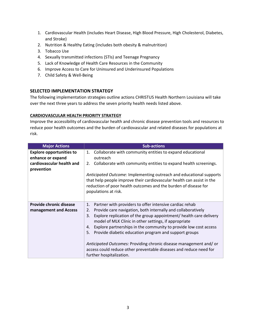- 1. Cardiovascular Health (includes Heart Disease, High Blood Pressure, High Cholesterol, Diabetes, and Stroke)
- 2. Nutrition & Healthy Eating (includes both obesity & malnutrition)
- 3. Tobacco Use
- 4. Sexually transmitted infections (STIs) and Teenage Pregnancy
- 5. Lack of Knowledge of Health Care Resources in the Community
- 6. Improve Access to Care for Uninsured and Underinsured Populations
- 7. Child Safety & Well-Being

## **SELECTED IMPLEMENTATION STRATEGY**

The following implementation strategies outline actions CHRISTUS Health Northern Louisiana will take over the next three years to address the seven priority health needs listed above.

### **CARDIOVASCULAR HEALTH PRIORITY STRATEGY**

Improve the accessibility of cardiovascular health and chronic disease prevention tools and resources to reduce poor health outcomes and the burden of cardiovascular and related diseases for populations at risk.

| <b>Major Actions</b>                                                              | <b>Sub-actions</b>                                                                                                                                                                                                                                                                                                                                                                                                                                                                                                                                                                       |
|-----------------------------------------------------------------------------------|------------------------------------------------------------------------------------------------------------------------------------------------------------------------------------------------------------------------------------------------------------------------------------------------------------------------------------------------------------------------------------------------------------------------------------------------------------------------------------------------------------------------------------------------------------------------------------------|
| <b>Explore opportunities to</b><br>enhance or expand<br>cardiovascular health and | Collaborate with community entities to expand educational<br>1.<br>outreach                                                                                                                                                                                                                                                                                                                                                                                                                                                                                                              |
| prevention                                                                        | 2. Collaborate with community entities to expand health screenings.<br>Anticipated Outcome: Implementing outreach and educational supports<br>that help people improve their cardiovascular health can assist in the<br>reduction of poor health outcomes and the burden of disease for<br>populations at risk.                                                                                                                                                                                                                                                                          |
| Provide chronic disease<br>management and Access                                  | Partner with providers to offer intensive cardiac rehab<br>1.<br>Provide care navigation, both internally and collaboratively<br>2.<br>Explore replication of the group appointment/ health care delivery<br>3.<br>model of MLK Clinic in other settings, if appropriate<br>Explore partnerships in the community to provide low cost access<br>4.<br>Provide diabetic education program and support groups<br>5.<br>Anticipated Outcomes: Providing chronic disease management and/or<br>access could reduce other preventable diseases and reduce need for<br>further hospitalization. |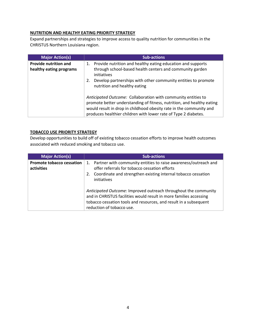### **NUTRITION AND HEALTHY EATING PRIORITY STRATEGY**

Expand partnerships and strategies to improve access to quality nutrition for communities in the CHRISTUS Northern Louisiana region.

| <b>Major Action(s)</b>                                  | <b>Sub-actions</b>                                                                                                                                                                                                                                                                |
|---------------------------------------------------------|-----------------------------------------------------------------------------------------------------------------------------------------------------------------------------------------------------------------------------------------------------------------------------------|
| <b>Provide nutrition and</b><br>healthy eating programs | 1. Provide nutrition and healthy eating education and supports<br>through school-based health centers and community garden<br>initiatives<br>Develop partnerships with other community entities to promote<br>2.<br>nutrition and healthy eating                                  |
|                                                         | Anticipated Outcome: Collaboration with community entities to<br>promote better understanding of fitness, nutrition, and healthy eating<br>would result in drop in childhood obesity rate in the community and<br>produces healthier children with lower rate of Type 2 diabetes. |

### **TOBACCO USE PRIORITY STRATEGY**

Develop opportunities to build off of existing tobacco cessation efforts to improve health outcomes associated with reduced smoking and tobacco use.

| <b>Major Action(s)</b>                         | <b>Sub-actions</b>                                                                                                                                                                                                                      |
|------------------------------------------------|-----------------------------------------------------------------------------------------------------------------------------------------------------------------------------------------------------------------------------------------|
| <b>Promote tobacco cessation</b><br>activities | 1. Partner with community entities to raise awareness/outreach and<br>offer referrals for tobacco cessation efforts<br>Coordinate and strengthen existing internal tobacco cessation<br>2.<br>initiatives                               |
|                                                | Anticipated Outcome: Improved outreach throughout the community<br>and in CHRISTUS facilities would result in more families accessing<br>tobacco cessation tools and resources, and result in a subsequent<br>reduction of tobacco use. |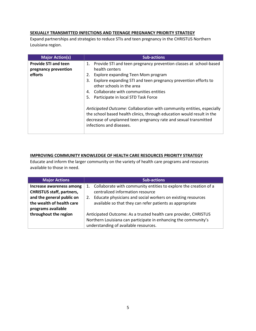### **SEXUALLY TRANSMITTED INFECTIONS AND TEENAGE PREGNANCY PRIORITY STRATEGY**

Expand partnerships and strategies to reduce STIs and teen pregnancy in the CHRISTUS Northern Louisiana region.

| <b>Major Action(s)</b>      | <b>Sub-actions</b>                                                                                                                                                                                                                               |
|-----------------------------|--------------------------------------------------------------------------------------------------------------------------------------------------------------------------------------------------------------------------------------------------|
| <b>Provide STI and teen</b> | 1. Provide STI and teen pregnancy prevention classes at school-based                                                                                                                                                                             |
| pregnancy prevention        | health centers                                                                                                                                                                                                                                   |
| efforts                     | Explore expanding Teen Mom program<br>2.                                                                                                                                                                                                         |
|                             | Explore expanding STI and teen pregnancy prevention efforts to<br>3.<br>other schools in the area                                                                                                                                                |
|                             | 4. Collaborate with communities entities                                                                                                                                                                                                         |
|                             | Participate in local STD Task Force<br>5.                                                                                                                                                                                                        |
|                             | Anticipated Outcome: Collaboration with community entities, especially<br>the school based health clinics, through education would result in the<br>decrease of unplanned teen pregnancy rate and sexual transmitted<br>infections and diseases. |

### **IMPROVING COMMUNITY KNOWLEDGE OF HEALTH CARE RESOURCES PRIORITY STRATEGY**

Educate and inform the larger community on the variety of health care programs and resources available to those in need.

| <b>Major Actions</b>                                                         | <b>Sub-actions</b>                                                                                                                                                           |
|------------------------------------------------------------------------------|------------------------------------------------------------------------------------------------------------------------------------------------------------------------------|
| Increase awareness among<br><b>CHRISTUS staff, partners,</b>                 | Collaborate with community entities to explore the creation of a<br>1.<br>centralized information resource                                                                   |
| and the general public on<br>the wealth of health care<br>programs available | Educate physicians and social workers on existing resources<br>2.<br>available so that they can refer patients as appropriate                                                |
| throughout the region                                                        | Anticipated Outcome: As a trusted health care provider, CHRISTUS<br>Northern Louisiana can participate in enhancing the community's<br>understanding of available resources. |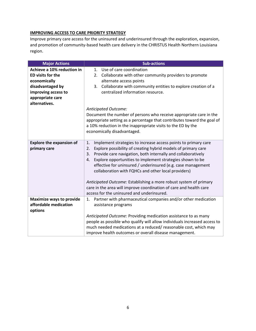# **IMPROVING ACCESS TO CARE PRIORITY STRATEGY**

Improve primary care access for the uninsured and underinsured through the exploration, expansion, and promotion of community-based health care delivery in the CHRISTUS Health Northern Louisiana region.

| <b>Major Actions</b>                                     | <b>Sub-actions</b>                                                                                                                                                                                     |
|----------------------------------------------------------|--------------------------------------------------------------------------------------------------------------------------------------------------------------------------------------------------------|
| Achieve a 10% reduction in                               | Use of care coordination<br>1 <sub>1</sub>                                                                                                                                                             |
| <b>ED visits for the</b>                                 | Collaborate with other community providers to promote<br>2.                                                                                                                                            |
| economically                                             | alternate access points                                                                                                                                                                                |
| disadvantaged by                                         | Collaborate with community entities to explore creation of a<br>3.                                                                                                                                     |
| improving access to                                      | centralized information resource.                                                                                                                                                                      |
| appropriate care                                         |                                                                                                                                                                                                        |
| alternatives.                                            |                                                                                                                                                                                                        |
|                                                          | <b>Anticipated Outcome:</b>                                                                                                                                                                            |
|                                                          | Document the number of persons who receive appropriate care in the                                                                                                                                     |
|                                                          | appropriate setting as a percentage that contributes toward the goal of                                                                                                                                |
|                                                          | a 10% reduction in the inappropriate visits to the ED by the                                                                                                                                           |
|                                                          | economically disadvantaged.                                                                                                                                                                            |
|                                                          |                                                                                                                                                                                                        |
| <b>Explore the expansion of</b>                          | Implement strategies to increase access points to primary care<br>1.                                                                                                                                   |
| primary care                                             | Explore possibility of creating hybrid models of primary care<br>2.                                                                                                                                    |
|                                                          | Provide care navigation, both internally and collaboratively<br>3.                                                                                                                                     |
|                                                          | Explore opportunities to implement strategies shown to be<br>4.                                                                                                                                        |
|                                                          | effective for uninsured / underinsured (e.g. case management                                                                                                                                           |
|                                                          | collaboration with FQHCs and other local providers)                                                                                                                                                    |
|                                                          |                                                                                                                                                                                                        |
|                                                          | Anticipated Outcome: Establishing a more robust system of primary                                                                                                                                      |
|                                                          | care in the area will improve coordination of care and health care<br>access for the uninsured and underinsured.                                                                                       |
|                                                          |                                                                                                                                                                                                        |
| <b>Maximize ways to provide</b><br>affordable medication | Partner with pharmaceutical companies and/or other medication<br>1.                                                                                                                                    |
|                                                          | assistance programs                                                                                                                                                                                    |
| options                                                  |                                                                                                                                                                                                        |
|                                                          | Anticipated Outcome: Providing medication assistance to as many                                                                                                                                        |
|                                                          |                                                                                                                                                                                                        |
|                                                          |                                                                                                                                                                                                        |
|                                                          | people as possible who qualify will allow individuals increased access to<br>much needed medications at a reduced/reasonable cost, which may<br>improve health outcomes or overall disease management. |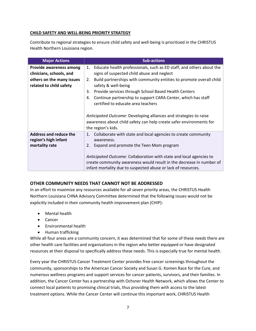## **CHILD SAFETY AND WELL-BEING PRIORITY STRATEGY**

Contribute to regional strategies to ensure child safety and well-being is prioritized in the CHRISTUS Health Northern Louisiana region.

| <b>Major Actions</b>          | <b>Sub-actions</b>                                                         |
|-------------------------------|----------------------------------------------------------------------------|
| Provide awareness among       | Educate health professionals, such as ED staff, and others about the<br>1. |
| clinicians, schools, and      | signs of suspected child abuse and neglect                                 |
| others on the many issues     | Build partnerships with community entities to promote overall child<br>2.  |
| related to child safety       | safety & well-being                                                        |
|                               | Provide services through School Based Health Centers<br>3.                 |
|                               | Continue partnership to support CARA Center, which has staff<br>4.         |
|                               | certified to educate area teachers                                         |
|                               |                                                                            |
|                               | Anticipated Outcome: Developing alliances and strategies to raise          |
|                               | awareness about child safety can help create safer environments for        |
|                               | the region's kids.                                                         |
| <b>Address and reduce the</b> | Collaborate with state and local agencies to create community<br>1.        |
| region's high infant          | awareness.                                                                 |
| mortality rate                | Expand and promote the Teen Mom program<br>2.                              |
|                               |                                                                            |
|                               | Anticipated Outcome: Collaboration with state and local agencies to        |
|                               | create community awareness would result in the decrease in number of       |
|                               | infant mortality due to suspected abuse or lack of resources.              |

## **OTHER COMMUNITY NEEDS THAT CANNOT NOT BE ADDRESSED**

In an effort to maximize any resources available for all seven priority areas, the CHRISTUS Health Northern Louisiana CHNA Advisory Committee determined that the following issues would not be explicitly included in their community health improvement plan (CHIP):

- Mental health
- Cancer
- Environmental health
- Human trafficking

While all four areas are a community concern, it was determined that for some of these needs there are other health care facilities and organizations in the region who better equipped or have designated resources at their disposal to specifically address these needs. This is especially true for mental health.

Every year the CHRISTUS Cancer Treatment Center provides free cancer screenings throughout the community, sponsorships to the American Cancer Society and Susan G. Komen Race for the Cure, and numerous wellness programs and support services for cancer patients, survivors, and their families. In addition, the Cancer Center has a partnership with Ochsner Health Network, which allows the Center to connect local patients to promising clinical trials, thus providing them with access to the latest treatment options. While the Cancer Center will continue this important work, CHRISTUS Health